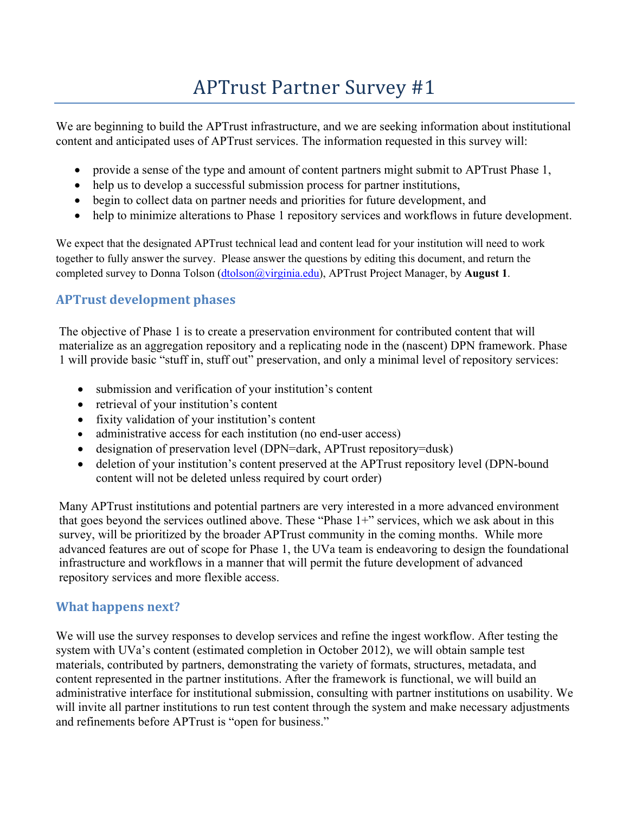# APTrust Partner Survey #1

We are beginning to build the APTrust infrastructure, and we are seeking information about institutional content and anticipated uses of APTrust services. The information requested in this survey will:

- provide a sense of the type and amount of content partners might submit to APTrust Phase 1,
- help us to develop a successful submission process for partner institutions,
- begin to collect data on partner needs and priorities for future development, and
- help to minimize alterations to Phase 1 repository services and workflows in future development.

We expect that the designated APTrust technical lead and content lead for your institution will need to work together to fully answer the survey. Please answer the questions by editing this document, and return the completed survey to Donna Tolson (dtolson@virginia.edu), APTrust Project Manager, by **August 1**.

## **APTrust development phases**

The objective of Phase 1 is to create a preservation environment for contributed content that will materialize as an aggregation repository and a replicating node in the (nascent) DPN framework. Phase 1 will provide basic "stuff in, stuff out" preservation, and only a minimal level of repository services:

- submission and verification of your institution's content
- retrieval of your institution's content
- fixity validation of your institution's content
- administrative access for each institution (no end-user access)
- designation of preservation level (DPN=dark, APTrust repository=dusk)
- deletion of your institution's content preserved at the APTrust repository level (DPN-bound content will not be deleted unless required by court order)

Many APTrust institutions and potential partners are very interested in a more advanced environment that goes beyond the services outlined above. These "Phase 1+" services, which we ask about in this survey, will be prioritized by the broader APTrust community in the coming months. While more advanced features are out of scope for Phase 1, the UVa team is endeavoring to design the foundational infrastructure and workflows in a manner that will permit the future development of advanced repository services and more flexible access.

#### **What happens next?**

We will use the survey responses to develop services and refine the ingest workflow. After testing the system with UVa's content (estimated completion in October 2012), we will obtain sample test materials, contributed by partners, demonstrating the variety of formats, structures, metadata, and content represented in the partner institutions. After the framework is functional, we will build an administrative interface for institutional submission, consulting with partner institutions on usability. We will invite all partner institutions to run test content through the system and make necessary adjustments and refinements before APTrust is "open for business."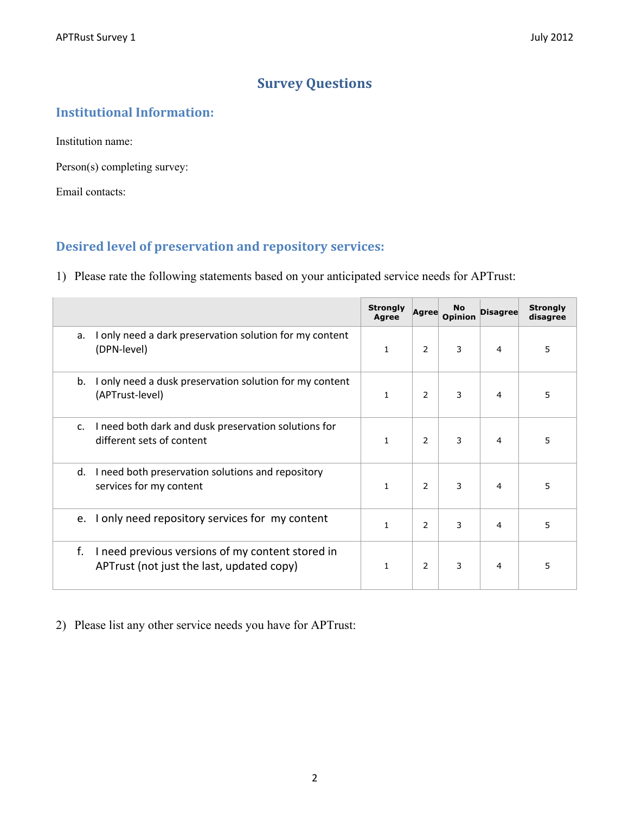# **Survey Questions**

## **Institutional Information:**

Institution name:

Person(s) completing survey:

Email contacts:

# **Desired level of preservation and repository services:**

1) Please rate the following statements based on your anticipated service needs for APTrust:

|                                                                                                     | <b>Strongly</b><br><b>Agree</b> | Agree          | No<br><b>Opinion</b> | <b>Disagree</b> | <b>Strongly</b><br>disagree |
|-----------------------------------------------------------------------------------------------------|---------------------------------|----------------|----------------------|-----------------|-----------------------------|
| only need a dark preservation solution for my content<br>a.<br>(DPN-level)                          | $\mathbf{1}$                    | 2              | 3                    | 4               | 5                           |
| I only need a dusk preservation solution for my content<br>b.<br>(APTrust-level)                    | $\mathbf{1}$                    | 2              | 3                    | 4               | 5                           |
| I need both dark and dusk preservation solutions for<br>$\mathsf{C}$ .<br>different sets of content | $\mathbf{1}$                    | $\overline{2}$ | 3                    | 4               | 5                           |
| I need both preservation solutions and repository<br>d.<br>services for my content                  | $\mathbf{1}$                    | $\overline{2}$ | 3                    | 4               | 5                           |
| I only need repository services for my content<br>e.                                                | $\mathbf{1}$                    | 2              | 3                    | 4               | 5                           |
| I need previous versions of my content stored in<br>f.<br>APTrust (not just the last, updated copy) | 1                               | 2              | 3                    | 4               | 5                           |

2) Please list any other service needs you have for APTrust: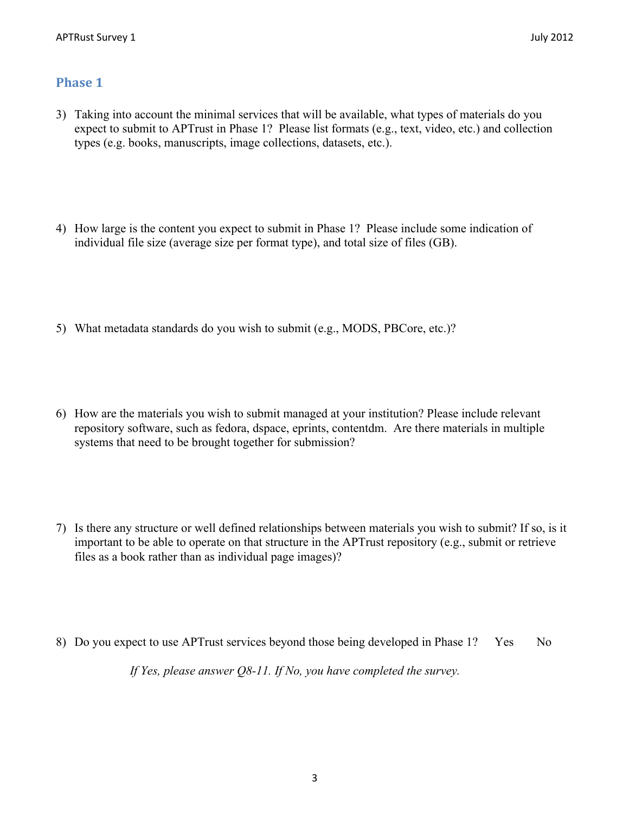#### **Phase 1**

- 3) Taking into account the minimal services that will be available, what types of materials do you expect to submit to APTrust in Phase 1? Please list formats (e.g., text, video, etc.) and collection types (e.g. books, manuscripts, image collections, datasets, etc.).
- 4) How large is the content you expect to submit in Phase 1? Please include some indication of individual file size (average size per format type), and total size of files (GB).
- 5) What metadata standards do you wish to submit (e.g., MODS, PBCore, etc.)?
- 6) How are the materials you wish to submit managed at your institution? Please include relevant repository software, such as fedora, dspace, eprints, contentdm. Are there materials in multiple systems that need to be brought together for submission?
- 7) Is there any structure or well defined relationships between materials you wish to submit? If so, is it important to be able to operate on that structure in the APTrust repository (e.g., submit or retrieve files as a book rather than as individual page images)?
- 8) Do you expect to use APTrust services beyond those being developed in Phase 1? Yes No

*If Yes, please answer Q8-11. If No, you have completed the survey.*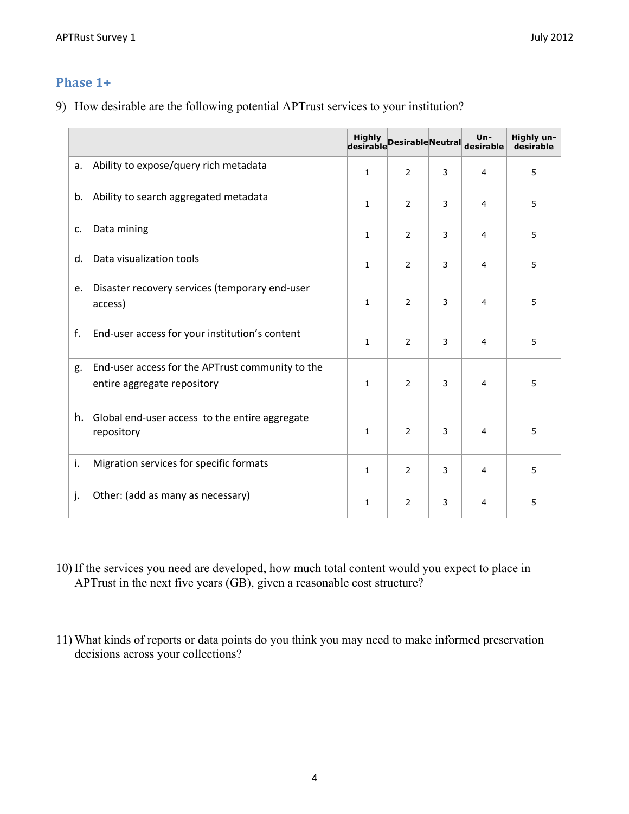#### **Phase 1+**

9) How desirable are the following potential APTrust services to your institution?

|                |                                                                                 |              | nighty<br>desirable Desirable Neutral |   | $Un -$<br>desirable | Highly un-<br>desirable |
|----------------|---------------------------------------------------------------------------------|--------------|---------------------------------------|---|---------------------|-------------------------|
| а.             | Ability to expose/query rich metadata                                           | $\mathbf{1}$ | 2                                     | 3 | $\overline{4}$      | 5                       |
| b.             | Ability to search aggregated metadata                                           | 1            | 2                                     | 3 | 4                   | 5                       |
| c.             | Data mining                                                                     | 1            | 2                                     | 3 | 4                   | 5                       |
| d.             | Data visualization tools                                                        | 1            | 2                                     | 3 | $\overline{4}$      | 5                       |
| e.             | Disaster recovery services (temporary end-user<br>access)                       | $\mathbf{1}$ | 2                                     | 3 | 4                   | 5                       |
| f.             | End-user access for your institution's content                                  | $\mathbf{1}$ | $\overline{2}$                        | 3 | $\overline{4}$      | 5                       |
| g.             | End-user access for the APTrust community to the<br>entire aggregate repository | $\mathbf{1}$ | 2                                     | 3 | 4                   | 5                       |
| h.             | Global end-user access to the entire aggregate<br>repository                    | $\mathbf{1}$ | $\overline{2}$                        | 3 | $\overline{4}$      | 5                       |
| i.             | Migration services for specific formats                                         | $\mathbf{1}$ | 2                                     | 3 | 4                   | 5                       |
| $\mathbf{i}$ . | Other: (add as many as necessary)                                               | 1            | 2                                     | 3 | 4                   | 5                       |

- 10) If the services you need are developed, how much total content would you expect to place in APTrust in the next five years (GB), given a reasonable cost structure?
- 11) What kinds of reports or data points do you think you may need to make informed preservation decisions across your collections?